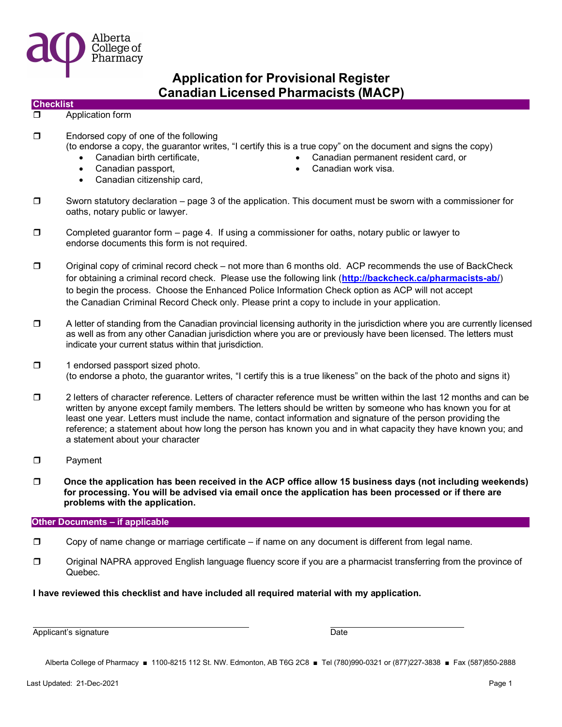

#### **Checklist**

#### **D** Application form

- □ Endorsed copy of one of the following
	- (to endorse a copy, the guarantor writes, "I certify this is a true copy" on the document and signs the copy)
		-
		-
		- Canadian citizenship card,
		- Canadian birth certificate, Canadian permanent resident card, or
			- Canadian passport, **Canadian work visa.** Canadian work visa.
- $\square$  Sworn statutory declaration page 3 of the application. This document must be sworn with a commissioner for oaths, notary public or lawyer.
- $\square$  Completed guarantor form page 4. If using a commissioner for oaths, notary public or lawyer to endorse documents this form is not required.
- $\square$  Original copy of criminal record check not more than 6 months old. ACP recommends the use of BackCheck for obtaining a criminal record check. Please use the following link (http://backcheck.ca/pharmacists-ab/) to begin the process. Choose the Enhanced Police Information Check option as ACP will not accept the Canadian Criminal Record Check only. Please print a copy to include in your application.
- $\Box$  A letter of standing from the Canadian provincial licensing authority in the jurisdiction where you are currently licensed as well as from any other Canadian jurisdiction where you are or previously have been licensed. The letters must indicate your current status within that jurisdiction.
- $\Box$  1 endorsed passport sized photo. (to endorse a photo, the guarantor writes, "I certify this is a true likeness" on the back of the photo and signs it)
- $\square$  2 letters of character reference. Letters of character reference must be written within the last 12 months and can be written by anyone except family members. The letters should be written by someone who has known you for at least one year. Letters must include the name, contact information and signature of the person providing the reference; a statement about how long the person has known you and in what capacity they have known you; and a statement about your character
- D Payment
- $\Box$  Once the application has been received in the ACP office allow 15 business days (not including weekends) for processing. You will be advised via email once the application has been processed or if there are problems with the application.

#### Other Documents – if applicable

- $\square$  Copy of name change or marriage certificate if name on any document is different from legal name.
- Original NAPRA approved English language fluency score if you are a pharmacist transferring from the province of Quebec.

### I have reviewed this checklist and have included all required material with my application.

Applicant's signature **Date** Date of the Date of the Date of the Date of the Date of the Date of the Date of the Date of the Date of the Date of the Date of the Date of the Date of the Date of the Date of the Date of the D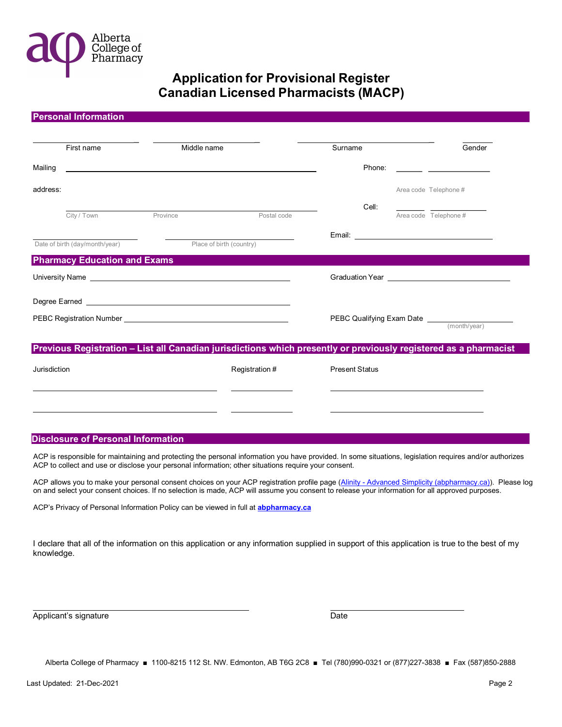

| <b>Personal Information</b>                       |                                                                                                                                                                                                                                |                |                       |                                                      |
|---------------------------------------------------|--------------------------------------------------------------------------------------------------------------------------------------------------------------------------------------------------------------------------------|----------------|-----------------------|------------------------------------------------------|
| First name                                        | Middle name                                                                                                                                                                                                                    |                | Surname               | Gender                                               |
|                                                   |                                                                                                                                                                                                                                |                |                       |                                                      |
|                                                   |                                                                                                                                                                                                                                |                |                       |                                                      |
| address:                                          |                                                                                                                                                                                                                                |                |                       | Area code Telephone #                                |
| City / Town                                       | Province                                                                                                                                                                                                                       | Postal code    | Cell:                 | Area code Telephone #                                |
|                                                   |                                                                                                                                                                                                                                |                |                       |                                                      |
|                                                   | Date of birth (day/month/year) Place of birth (country)                                                                                                                                                                        |                |                       |                                                      |
| <b>Pharmacy Education and Exams</b>               |                                                                                                                                                                                                                                |                |                       |                                                      |
|                                                   | University Name Lawrence and Contract and Contract of the Contract of the Contract of the Contract of the Contract of the Contract of the Contract of the Contract of the Contract of the Contract of the Contract of the Cont |                |                       |                                                      |
|                                                   |                                                                                                                                                                                                                                |                |                       |                                                      |
| PEBC Registration Number <b>Example 20</b> Number |                                                                                                                                                                                                                                |                |                       | <b>PEBC Qualifying Exam Date</b> <u>(month/year)</u> |
|                                                   |                                                                                                                                                                                                                                |                |                       |                                                      |
|                                                   | Previous Registration - List all Canadian jurisdictions which presently or previously registered as a pharmacist                                                                                                               |                |                       |                                                      |
| Jurisdiction                                      |                                                                                                                                                                                                                                | Registration # | <b>Present Status</b> |                                                      |
|                                                   |                                                                                                                                                                                                                                |                |                       |                                                      |
|                                                   |                                                                                                                                                                                                                                |                |                       |                                                      |
|                                                   |                                                                                                                                                                                                                                |                |                       |                                                      |
|                                                   |                                                                                                                                                                                                                                |                |                       |                                                      |

#### Disclosure of Personal Information

ACP is responsible for maintaining and protecting the personal information you have provided. In some situations, legislation requires and/or authorizes ACP to collect and use or disclose your personal information; other situations require your consent.

ACP allows you to make your personal consent choices on your ACP registration profile page (Alinity - Advanced Simplicity (abpharmacy.ca)). Please log on and select your consent choices. If no selection is made, ACP will assume you consent to release your information for all approved purposes.

ACP's Privacy of Personal Information Policy can be viewed in full at **abpharmacy.ca** 

I declare that all of the information on this application or any information supplied in support of this application is true to the best of my knowledge.

Applicant's signature Date Date Date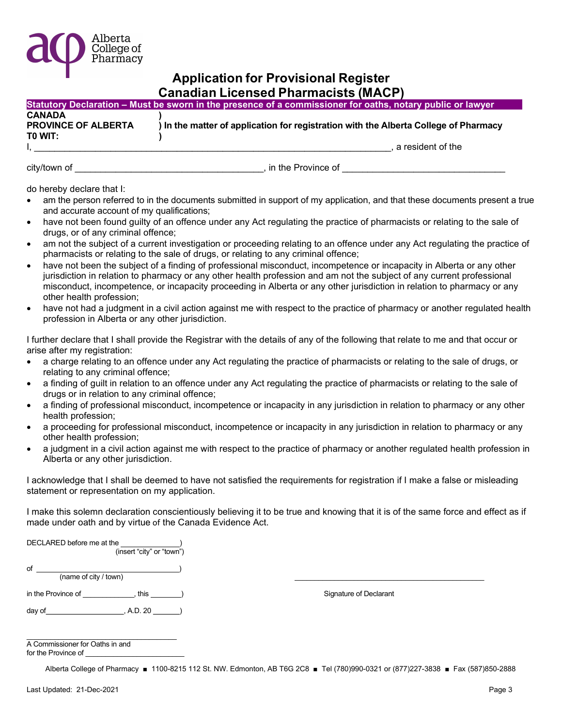

|                            | Statutory Declaration – Must be sworn in the presence of a commissioner for oaths, notary public or lawyer, |
|----------------------------|-------------------------------------------------------------------------------------------------------------|
| <b>CANADA</b>              |                                                                                                             |
| <b>PROVINCE OF ALBERTA</b> | ) In the matter of application for registration with the Alberta College of Pharmacy                        |
| TO WIT:                    |                                                                                                             |
|                            | a resident of the                                                                                           |

city/town of \_\_\_\_\_\_\_\_\_\_\_\_\_\_\_\_\_\_\_\_\_\_\_\_\_\_\_\_\_\_\_\_\_\_\_\_\_, in the Province of \_\_\_\_\_\_\_\_\_\_\_\_\_\_\_\_\_\_\_\_\_\_\_\_\_\_\_\_\_\_\_\_

do hereby declare that I:

- am the person referred to in the documents submitted in support of my application, and that these documents present a true and accurate account of my qualifications;
- have not been found guilty of an offence under any Act regulating the practice of pharmacists or relating to the sale of drugs, or of any criminal offence;
- am not the subject of a current investigation or proceeding relating to an offence under any Act regulating the practice of pharmacists or relating to the sale of drugs, or relating to any criminal offence;
- have not been the subject of a finding of professional misconduct, incompetence or incapacity in Alberta or any other jurisdiction in relation to pharmacy or any other health profession and am not the subject of any current professional misconduct, incompetence, or incapacity proceeding in Alberta or any other jurisdiction in relation to pharmacy or any other health profession;
- have not had a judgment in a civil action against me with respect to the practice of pharmacy or another regulated health profession in Alberta or any other jurisdiction.

I further declare that I shall provide the Registrar with the details of any of the following that relate to me and that occur or arise after my registration:

- a charge relating to an offence under any Act regulating the practice of pharmacists or relating to the sale of drugs, or relating to any criminal offence;
- a finding of guilt in relation to an offence under any Act regulating the practice of pharmacists or relating to the sale of drugs or in relation to any criminal offence;
- a finding of professional misconduct, incompetence or incapacity in any jurisdiction in relation to pharmacy or any other health profession;
- a proceeding for professional misconduct, incompetence or incapacity in any jurisdiction in relation to pharmacy or any other health profession;
- a judgment in a civil action against me with respect to the practice of pharmacy or another regulated health profession in Alberta or any other jurisdiction.

I acknowledge that I shall be deemed to have not satisfied the requirements for registration if I make a false or misleading statement or representation on my application.

I make this solemn declaration conscientiously believing it to be true and knowing that it is of the same force and effect as if made under oath and by virtue of the Canada Evidence Act.

DECLARED before me at the (insert "city" or "town")  $\circ$  of  $\_\_$  $(\mathsf{name \ of \ city \ / \ town)$ 

day of  $\qquad \qquad ,$  A.D. 20  $\qquad \qquad )$ 

in the Province of \_\_\_\_\_\_\_\_\_\_\_\_, this \_\_\_\_\_\_\_) Signature of Declarant

| A Commissioner for Oaths in and |
|---------------------------------|
| for the Province of             |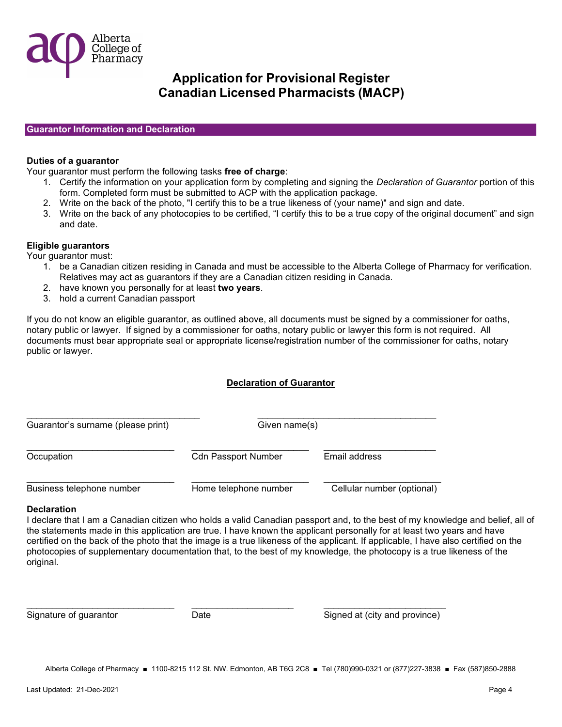

### Guarantor Information and Declaration

### Duties of a guarantor

Your guarantor must perform the following tasks free of charge:

- 1. Certify the information on your application form by completing and signing the Declaration of Guarantor portion of this form. Completed form must be submitted to ACP with the application package.
- 2. Write on the back of the photo, "I certify this to be a true likeness of (your name)" and sign and date.
- 3. Write on the back of any photocopies to be certified, "I certify this to be a true copy of the original document" and sign and date.

### Eligible guarantors

Your guarantor must:

- 1. be a Canadian citizen residing in Canada and must be accessible to the Alberta College of Pharmacy for verification. Relatives may act as guarantors if they are a Canadian citizen residing in Canada.
- 2. have known you personally for at least two years.
- 3. hold a current Canadian passport

If you do not know an eligible guarantor, as outlined above, all documents must be signed by a commissioner for oaths, notary public or lawyer. If signed by a commissioner for oaths, notary public or lawyer this form is not required. All documents must bear appropriate seal or appropriate license/registration number of the commissioner for oaths, notary public or lawyer.

### Declaration of Guarantor

| Guarantor's surname (please print) | Given name(s)              |                            |
|------------------------------------|----------------------------|----------------------------|
| Occupation                         | <b>Cdn Passport Number</b> | Email address              |
| Business telephone number          | Home telephone number      | Cellular number (optional) |

### **Declaration**

I declare that I am a Canadian citizen who holds a valid Canadian passport and, to the best of my knowledge and belief, all of the statements made in this application are true. I have known the applicant personally for at least two years and have certified on the back of the photo that the image is a true likeness of the applicant. If applicable, I have also certified on the photocopies of supplementary documentation that, to the best of my knowledge, the photocopy is a true likeness of the original.

Date Signed at (city and province)